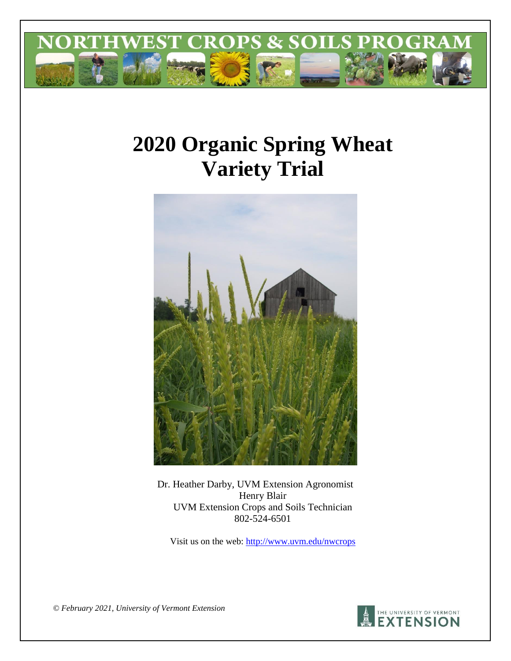

# **2020 Organic Spring Wheat Variety Trial**



Dr. Heather Darby, UVM Extension Agronomist Henry Blair UVM Extension Crops and Soils Technician 802-524-6501

Visit us on the web:<http://www.uvm.edu/nwcrops>

*© February 2021, University of Vermont Extension* 

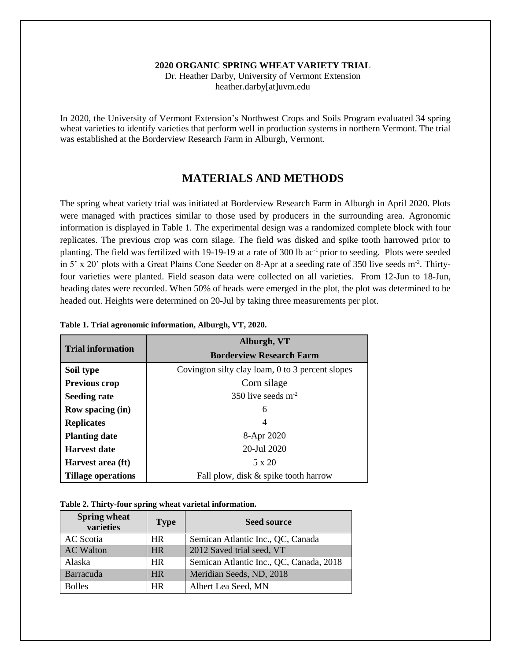#### **2020 ORGANIC SPRING WHEAT VARIETY TRIAL**

Dr. Heather Darby, University of Vermont Extension heather.darby[at]uvm.edu

In 2020, the University of Vermont Extension's Northwest Crops and Soils Program evaluated 34 spring wheat varieties to identify varieties that perform well in production systems in northern Vermont. The trial was established at the Borderview Research Farm in Alburgh, Vermont.

## **MATERIALS AND METHODS**

The spring wheat variety trial was initiated at Borderview Research Farm in Alburgh in April 2020. Plots were managed with practices similar to those used by producers in the surrounding area. Agronomic information is displayed in Table 1. The experimental design was a randomized complete block with four replicates. The previous crop was corn silage. The field was disked and spike tooth harrowed prior to planting. The field was fertilized with 19-19-19 at a rate of 300 lb ac-1 prior to seeding. Plots were seeded in 5' x 20' plots with a Great Plains Cone Seeder on 8-Apr at a seeding rate of 350 live seeds m<sup>-2</sup>. Thirtyfour varieties were planted. Field season data were collected on all varieties. From 12-Jun to 18-Jun, heading dates were recorded. When 50% of heads were emerged in the plot, the plot was determined to be headed out. Heights were determined on 20-Jul by taking three measurements per plot.

|                           | Alburgh, VT                                      |  |  |  |  |  |
|---------------------------|--------------------------------------------------|--|--|--|--|--|
| <b>Trial information</b>  | <b>Borderview Research Farm</b>                  |  |  |  |  |  |
| Soil type                 | Covington silty clay loam, 0 to 3 percent slopes |  |  |  |  |  |
| <b>Previous crop</b>      | Corn silage                                      |  |  |  |  |  |
| <b>Seeding rate</b>       | 350 live seeds $m2$                              |  |  |  |  |  |
| Row spacing (in)          | 6                                                |  |  |  |  |  |
| <b>Replicates</b>         | $\overline{4}$                                   |  |  |  |  |  |
| <b>Planting date</b>      | 8-Apr 2020                                       |  |  |  |  |  |
| Harvest date              | 20-Jul 2020                                      |  |  |  |  |  |
| Harvest area (ft)         | 5 x 20                                           |  |  |  |  |  |
| <b>Tillage operations</b> | Fall plow, disk & spike tooth harrow             |  |  |  |  |  |

|  | Table 1. Trial agronomic information, Alburgh, VT, 2020. |  |
|--|----------------------------------------------------------|--|
|  |                                                          |  |

|  | Table 2. Thirty-four spring wheat varietal information. |
|--|---------------------------------------------------------|
|--|---------------------------------------------------------|

| <b>Spring wheat</b><br>varieties | <b>Type</b> | <b>Seed source</b>                      |
|----------------------------------|-------------|-----------------------------------------|
| AC Scotia                        | HR.         | Semican Atlantic Inc., QC, Canada       |
| <b>AC Walton</b>                 | <b>HR</b>   | 2012 Saved trial seed, VT               |
| Alaska                           | <b>HR</b>   | Semican Atlantic Inc., QC, Canada, 2018 |
| <b>Barracuda</b>                 | <b>HR</b>   | Meridian Seeds, ND, 2018                |
| <b>Bolles</b>                    | <b>HR</b>   | Albert Lea Seed, MN                     |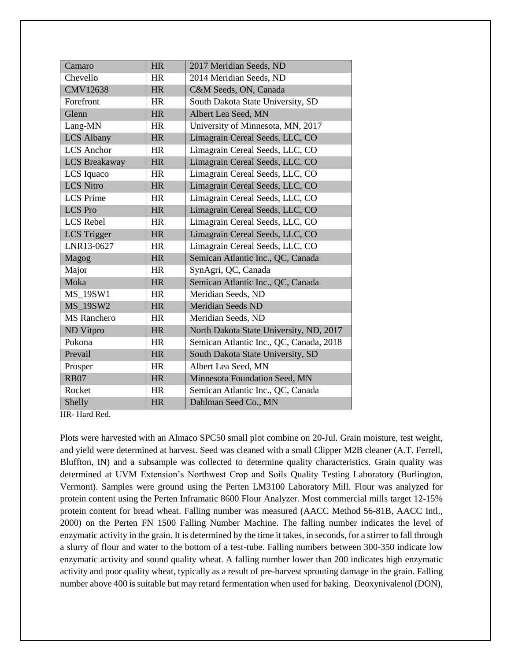| Camaro               | <b>HR</b> | 2017 Meridian Seeds, ND                 |
|----------------------|-----------|-----------------------------------------|
| Chevello             | <b>HR</b> | 2014 Meridian Seeds, ND                 |
| <b>CMV12638</b>      | <b>HR</b> | C&M Seeds, ON, Canada                   |
| Forefront            | <b>HR</b> | South Dakota State University, SD       |
| Glenn                | <b>HR</b> | Albert Lea Seed, MN                     |
| Lang-MN              | HR        | University of Minnesota, MN, 2017       |
| <b>LCS Albany</b>    | <b>HR</b> | Limagrain Cereal Seeds, LLC, CO         |
| <b>LCS</b> Anchor    | <b>HR</b> | Limagrain Cereal Seeds, LLC, CO         |
| <b>LCS</b> Breakaway | <b>HR</b> | Limagrain Cereal Seeds, LLC, CO         |
| LCS Iquaco           | <b>HR</b> | Limagrain Cereal Seeds, LLC, CO         |
| <b>LCS Nitro</b>     | <b>HR</b> | Limagrain Cereal Seeds, LLC, CO         |
| <b>LCS</b> Prime     | <b>HR</b> | Limagrain Cereal Seeds, LLC, CO         |
| <b>LCS</b> Pro       | <b>HR</b> | Limagrain Cereal Seeds, LLC, CO         |
| <b>LCS Rebel</b>     | HR        | Limagrain Cereal Seeds, LLC, CO         |
| <b>LCS</b> Trigger   | <b>HR</b> | Limagrain Cereal Seeds, LLC, CO         |
| LNR13-0627           | <b>HR</b> | Limagrain Cereal Seeds, LLC, CO         |
| Magog                | <b>HR</b> | Semican Atlantic Inc., QC, Canada       |
| Major                | <b>HR</b> | SynAgri, QC, Canada                     |
| Moka                 | <b>HR</b> | Semican Atlantic Inc., QC, Canada       |
| <b>MS 19SW1</b>      | <b>HR</b> | Meridian Seeds, ND                      |
| <b>MS 19SW2</b>      | <b>HR</b> | <b>Meridian Seeds ND</b>                |
| <b>MS</b> Ranchero   | <b>HR</b> | Meridian Seeds, ND                      |
| ND Vitpro            | <b>HR</b> | North Dakota State University, ND, 2017 |
| Pokona               | <b>HR</b> | Semican Atlantic Inc., QC, Canada, 2018 |
| Prevail              | <b>HR</b> | South Dakota State University, SD       |
| Prosper              | <b>HR</b> | Albert Lea Seed, MN                     |
| <b>RB07</b>          | <b>HR</b> | Minnesota Foundation Seed, MN           |
| Rocket               | <b>HR</b> | Semican Atlantic Inc., QC, Canada       |
| Shelly               | <b>HR</b> | Dahlman Seed Co., MN                    |

HR- Hard Red.

Plots were harvested with an Almaco SPC50 small plot combine on 20-Jul. Grain moisture, test weight, and yield were determined at harvest. Seed was cleaned with a small Clipper M2B cleaner (A.T. Ferrell, Bluffton, IN) and a subsample was collected to determine quality characteristics. Grain quality was determined at UVM Extension's Northwest Crop and Soils Quality Testing Laboratory (Burlington, Vermont). Samples were ground using the Perten LM3100 Laboratory Mill. Flour was analyzed for protein content using the Perten Inframatic 8600 Flour Analyzer. Most commercial mills target 12-15% protein content for bread wheat. Falling number was measured (AACC Method 56-81B, AACC Intl., 2000) on the Perten FN 1500 Falling Number Machine. The falling number indicates the level of enzymatic activity in the grain. It is determined by the time it takes, in seconds, for a stirrer to fall through a slurry of flour and water to the bottom of a test-tube. Falling numbers between 300-350 indicate low enzymatic activity and sound quality wheat. A falling number lower than 200 indicates high enzymatic activity and poor quality wheat, typically as a result of pre-harvest sprouting damage in the grain. Falling number above 400 is suitable but may retard fermentation when used for baking. Deoxynivalenol (DON),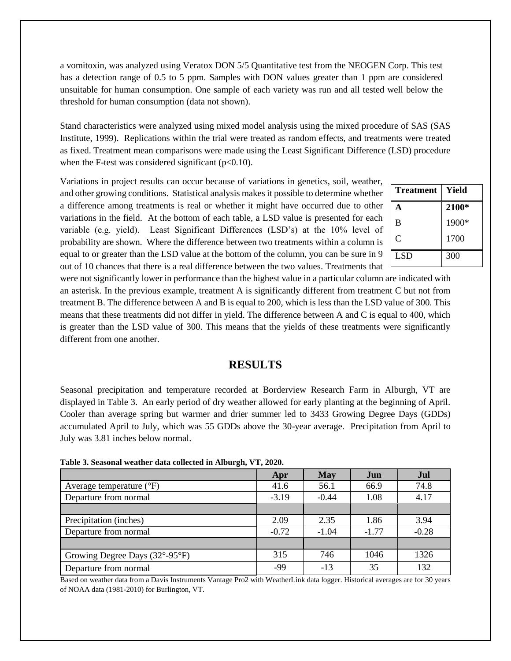a vomitoxin, was analyzed using Veratox DON 5/5 Quantitative test from the NEOGEN Corp. This test has a detection range of 0.5 to 5 ppm. Samples with DON values greater than 1 ppm are considered unsuitable for human consumption. One sample of each variety was run and all tested well below the threshold for human consumption (data not shown).

Stand characteristics were analyzed using mixed model analysis using the mixed procedure of SAS (SAS Institute, 1999). Replications within the trial were treated as random effects, and treatments were treated as fixed. Treatment mean comparisons were made using the Least Significant Difference (LSD) procedure when the F-test was considered significant  $(p<0.10)$ .

Variations in project results can occur because of variations in genetics, soil, weather, and other growing conditions. Statistical analysis makes it possible to determine whether a difference among treatments is real or whether it might have occurred due to other variations in the field. At the bottom of each table, a LSD value is presented for each variable (e.g. yield). Least Significant Differences (LSD's) at the 10% level of probability are shown. Where the difference between two treatments within a column is equal to or greater than the LSD value at the bottom of the column, you can be sure in 9 out of 10 chances that there is a real difference between the two values. Treatments that

| <b>Treatment</b> | Yield |
|------------------|-------|
| A                | 2100* |
| B                | 1900* |
| Ċ                | 1700  |
| <b>LSD</b>       | 300   |

were not significantly lower in performance than the highest value in a particular column are indicated with an asterisk. In the previous example, treatment A is significantly different from treatment C but not from treatment B. The difference between A and B is equal to 200, which is less than the LSD value of 300. This means that these treatments did not differ in yield. The difference between A and C is equal to 400, which is greater than the LSD value of 300. This means that the yields of these treatments were significantly different from one another.

## **RESULTS**

Seasonal precipitation and temperature recorded at Borderview Research Farm in Alburgh, VT are displayed in Table 3. An early period of dry weather allowed for early planting at the beginning of April. Cooler than average spring but warmer and drier summer led to 3433 Growing Degree Days (GDDs) accumulated April to July, which was 55 GDDs above the 30-year average. Precipitation from April to July was 3.81 inches below normal.

|  |  |  | Table 3. Seasonal weather data collected in Alburgh, VT, 2020. |  |
|--|--|--|----------------------------------------------------------------|--|
|  |  |  |                                                                |  |

|                                     | Apr     | <b>May</b> | Jun     | Jul     |
|-------------------------------------|---------|------------|---------|---------|
| Average temperature $({}^{\circ}F)$ | 41.6    | 56.1       | 66.9    | 74.8    |
| Departure from normal               | $-3.19$ | $-0.44$    | 1.08    | 4.17    |
|                                     |         |            |         |         |
| Precipitation (inches)              | 2.09    | 2.35       | 1.86    | 3.94    |
| Departure from normal               | $-0.72$ | $-1.04$    | $-1.77$ | $-0.28$ |
|                                     |         |            |         |         |
| Growing Degree Days (32°-95°F)      | 315     | 746        | 1046    | 1326    |
| Departure from normal               | -99     | $-13$      | 35      | 132     |

Based on weather data from a Davis Instruments Vantage Pro2 with WeatherLink data logger. Historical averages are for 30 years of NOAA data (1981-2010) for Burlington, VT.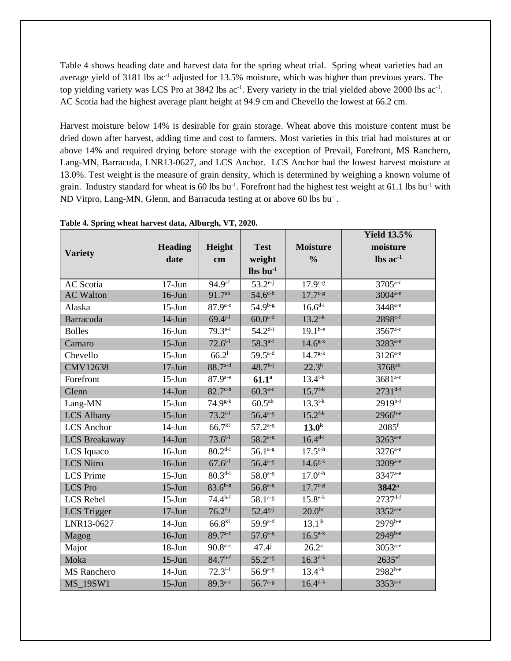Table 4 shows heading date and harvest data for the spring wheat trial. Spring wheat varieties had an average yield of 3181 lbs ac<sup>-1</sup> adjusted for 13.5% moisture, which was higher than previous years. The top yielding variety was LCS Pro at  $3842$  lbs ac<sup>-1</sup>. Every variety in the trial yielded above 2000 lbs ac<sup>-1</sup>. AC Scotia had the highest average plant height at 94.9 cm and Chevello the lowest at 66.2 cm.

Harvest moisture below 14% is desirable for grain storage. Wheat above this moisture content must be dried down after harvest, adding time and cost to farmers. Most varieties in this trial had moistures at or above 14% and required drying before storage with the exception of Prevail, Forefront, MS Ranchero, Lang-MN, Barracuda, LNR13-0627, and LCS Anchor. LCS Anchor had the lowest harvest moisture at 13.0%. Test weight is the measure of grain density, which is determined by weighing a known volume of grain. Industry standard for wheat is 60 lbs bu<sup>-1</sup>. Forefront had the highest test weight at 61.1 lbs bu<sup>-1</sup> with ND Vitpro, Lang-MN, Glenn, and Barracuda testing at or above 60 lbs bu<sup>-1</sup>.

|                    |                |                       |                                  |                     | <b>Yield 13.5%</b>            |
|--------------------|----------------|-----------------------|----------------------------------|---------------------|-------------------------------|
|                    | <b>Heading</b> | Height                | <b>Test</b>                      | <b>Moisture</b>     | moisture                      |
| <b>Variety</b>     | date           | $\mathbf{cm}$         | weight                           | $\frac{0}{0}$       | $\text{lbs}$ ac <sup>-1</sup> |
|                    |                |                       | $\mathbf{lbs}\,\mathbf{bu}^{-1}$ |                     |                               |
| <b>AC</b> Scotia   | $17-J$ un      | $94.9^{at}$           | $53.2^{e-j}$                     | $17.9^{c-g}$        | $3705^{a-c}$                  |
| <b>AC Walton</b>   | $16$ -Jun      | $91.7^{ab}$           | $54.6^{\text{c-h}}$              | $17.7c-g$           | 3004 <sup>a-e</sup>           |
| Alaska             | $15-J$ un      | $87.9^{a-e}$          | $54.9^{b-g}$                     | $16.6^{d-i}$        | 3448 <sup>a-e</sup>           |
| Barracuda          | $14-Jun$       | $69.4^{j-1}$          | $60.0^{a-d}$                     | $13.2^{i-k}$        | 2898 <sup>c-f</sup>           |
| <b>Bolles</b>      | $16$ -Jun      | $79.3^{e-i}$          | $54.2^{d-i}$                     | $19.1^{b-e}$        | 3567 <sup>a-c</sup>           |
| Camaro             | $15-Jun$       | $72.6^{i-1}$          | $58.3^{a-f}$                     | $14.6^{g-k}$        | 3283 <sup>a-e</sup>           |
| Chevello           | $15$ -Jun      | 66.2 <sup>1</sup>     | $59.5^{a-d}$                     | $14.7g-k$           | $3126^{a-e}$                  |
| <b>CMV12638</b>    | $17-J$ un      | $88.7^{a-d}$          | $48.7h-j$                        | $22.3^{b}$          | 3768 <sup>ab</sup>            |
| Forefront          | $15$ -Jun      | $87.9^{a-e}$          | 61.1 <sup>a</sup>                | $13.4^{i-k}$        | $3681^{a-c}$                  |
| Glenn              | $14-J$ un      | $82.7^{\text{c-h}}$   | $60.3^{a-c}$                     | $15.7^{f-k}$        | $2731^{d-f}$                  |
| Lang-MN            | $15-J$ un      | $74.9^{g-k}$          | $60.5^{ab}$                      | $13.3^{i-k}$        | $2919^{b-f}$                  |
| <b>LCS Albany</b>  | $15$ -Jun      | $73.2^{i-1}$          | $56.4^{a-g}$                     | $15.2^{f-k}$        | $2966^{b-e}$                  |
| LCS Anchor         | $14-J$ un      | 66.7 <sup>kl</sup>    | $57.2^{a-g}$                     | 13.0 <sup>k</sup>   | $2085$ <sup>f</sup>           |
| LCS Breakaway      | $14-J$ un      | $73.6^{i-1}$          | $58.2^{a-g}$                     | $16.4^{d-i}$        | 3263 <sup>a-e</sup>           |
| LCS Iquaco         | $16$ -Jun      | $80.2^{d-i}$          | $56.1^{a-g}$                     | $17.5^{\text{c-h}}$ | 3276 <sup>a-e</sup>           |
| <b>LCS Nitro</b>   | $16$ -Jun      | $67.6^{j-1}$          | $56.4^{a-g}$                     | $14.6^{g-k}$        | 3209a-e                       |
| <b>LCS</b> Prime   | $15-J$ un      | $80.3^{d-i}$          | $58.0^{a-g}$                     | $17.0c-h$           | 3347 <sup>a-e</sup>           |
| <b>LCS</b> Pro     | $15$ -Jun      | $83.6^{b-g}$          | $56.8^{a-g}$                     | $17.7c-g$           | 3842 <sup>a</sup>             |
| <b>LCS</b> Rebel   | $15-J$ un      | $74.4^{h-1}$          | $58.1^{a-g}$                     | $15.8^{e-k}$        | $2737^{d-f}$                  |
| <b>LCS</b> Trigger | $17-Jun$       | $76.2$ <sup>f-j</sup> | $52.4^{g-j}$                     | $20.0^{bc}$         | 3352 <sup>a-e</sup>           |
| LNR13-0627         | $14-Jun$       | $66.8^{k1}$           | $59.9^{a-d}$                     | $13.1^{jk}$         | $2979^{b-e}$                  |
| Magog              | $16$ -Jun      | $89.7^{a-c}$          | $57.6^{a-g}$                     | $16.5^{e-k}$        | 2949b-e                       |
| Major              | $18 - Jun$     | $90.8^{a-c}$          | $47.4^{j}$                       | $26.2^{\rm a}$      | $3053^{a-e}$                  |
| Moka               | $15-J$ un      | $84.7^{b-f}$          | $55.2^{a-g}$                     | $16.3^{d-k}$        | $2635$ <sup>ef</sup>          |
| <b>MS</b> Ranchero | $14-Jun$       | $72.3^{i-1}$          | $56.9^{a-g}$                     | $13.4^{i-k}$        | 2982b-e                       |
| <b>MS 19SW1</b>    | $15-J$ un      | $89.3^{a-c}$          | $56.7^{a-g}$                     | $16.4^{d-k}$        | 3353 <sup>a-e</sup>           |

**Table 4. Spring wheat harvest data, Alburgh, VT, 2020.**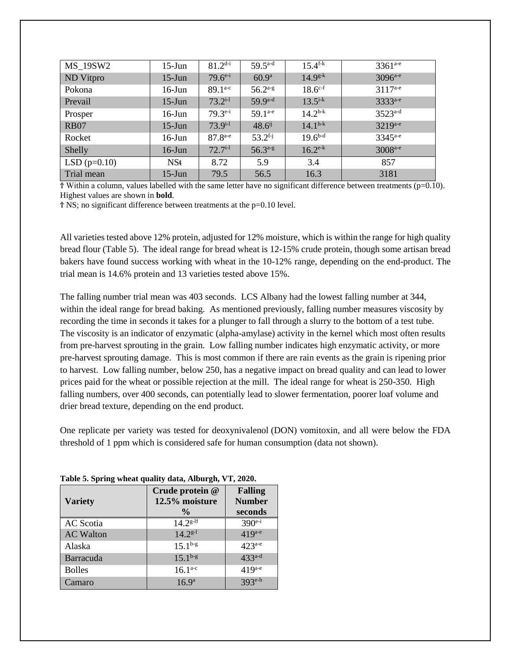| MS 19SW2       | $15$ -Jun | $81.2^{d-i}$ | $59.5^{\text{a-d}}$   | $15.4^{\text{f-k}}$ | $3361^{a-e}$        |
|----------------|-----------|--------------|-----------------------|---------------------|---------------------|
| ND Vitpro      | $15$ -Jun | $79.6^{e-i}$ | 60.9 <sup>a</sup>     | $14.9^{g-k}$        | $3096^{a-e}$        |
| Pokona         | $16$ -Jun | $89.1^{a-c}$ | $56.2^{a-g}$          | $18.6^{c-f}$        | $3117^{a-e}$        |
| Prevail        | $15$ -Jun | $73.2^{i-1}$ | $59.9^{a-d}$          | $13.5^{i-k}$        | 3333 <sup>a-e</sup> |
| Prosper        | $16$ -Jun | $79.3^{e-i}$ | $59.1^{a-e}$          | $14.2^{h-k}$        | $3523^{a-d}$        |
| <b>RB07</b>    | $15$ -Jun | $73.9^{i-1}$ | $48.6^{ij}$           | $14.1^{h-k}$        | $3219^{a-e}$        |
| Rocket         | $16$ -Jun | $87.8^{a-e}$ | $53.2$ <sup>f-j</sup> | $19.6^{b-d}$        | $3345^{a-e}$        |
| Shelly         | $16$ -Jun | $72.7^{i-1}$ | $56.3^{a-g}$          | $16.2^{e-k}$        | 3008 <sup>a-e</sup> |
| LSD $(p=0.10)$ | NSt       | 8.72         | 5.9                   | 3.4                 | 857                 |
| Trial mean     | $15$ -Jun | 79.5         | 56.5                  | 16.3                | 3181                |

 $\overline{T}$  Within a column, values labelled with the same letter have no significant difference between treatments (p=0.10). Highest values are shown in **bold**.

Ϯ NS; no significant difference between treatments at the p=0.10 level.

All varieties tested above 12% protein, adjusted for 12% moisture, which is within the range for high quality bread flour (Table 5). The ideal range for bread wheat is 12-15% crude protein, though some artisan bread bakers have found success working with wheat in the 10-12% range, depending on the end-product. The trial mean is 14.6% protein and 13 varieties tested above 15%.

The falling number trial mean was 403 seconds. LCS Albany had the lowest falling number at 344, within the ideal range for bread baking. As mentioned previously, falling number measures viscosity by recording the time in seconds it takes for a plunger to fall through a slurry to the bottom of a test tube. The viscosity is an indicator of enzymatic (alpha-amylase) activity in the kernel which most often results from pre-harvest sprouting in the grain. Low falling number indicates high enzymatic activity, or more pre-harvest sprouting damage. This is most common if there are rain events as the grain is ripening prior to harvest. Low falling number, below 250, has a negative impact on bread quality and can lead to lower prices paid for the wheat or possible rejection at the mill. The ideal range for wheat is 250-350. High falling numbers, over 400 seconds, can potentially lead to slower fermentation, poorer loaf volume and drier bread texture, depending on the end product.

One replicate per variety was tested for deoxynivalenol (DON) vomitoxin, and all were below the FDA threshold of 1 ppm which is considered safe for human consumption (data not shown).

| <b>Variety</b>   | Crude protein @<br>12.5% moisture<br>$\frac{0}{0}$ | <b>Falling</b><br><b>Number</b><br>seconds |
|------------------|----------------------------------------------------|--------------------------------------------|
| <b>AC</b> Scotia | $14.2^{g-11}$                                      | $390^{e-i}$                                |
| <b>AC Walton</b> | $14.2^{g-1}$                                       | $419^{a-e}$                                |
| Alaska           | $15.1^{b-g}$                                       | $423^{a-e}$                                |
| Barracuda        | $15.1^{b-g}$                                       | $433^{a-d}$                                |
| <b>Bolles</b>    | $16.1^{a-c}$                                       | $419^{a-e}$                                |
| Camaro           | $16.9^{a}$                                         | $393^{\text{e-h}}$                         |

**Table 5. Spring wheat quality data, Alburgh, VT, 2020.**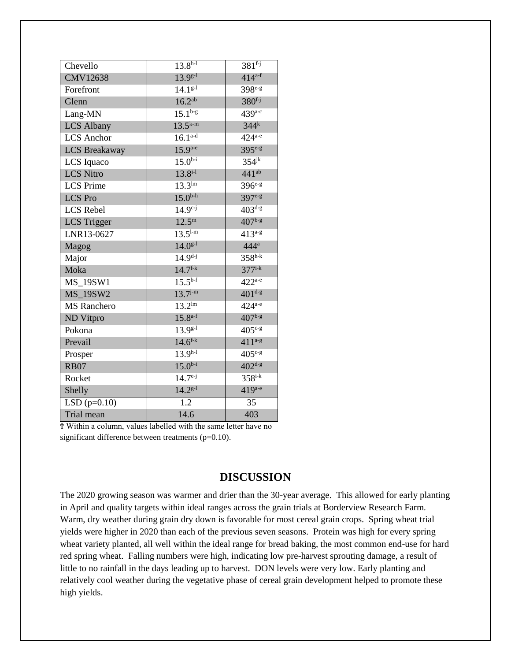| Chevello             | $13.8^{h-1}$        | $381^{f-j}$          |
|----------------------|---------------------|----------------------|
| <b>CMV12638</b>      | $13.9^{g-1}$        | $414^{a-f}$          |
| Forefront            | $14.1g-1$           | 398e-g               |
| Glenn                | 16.2 <sup>ab</sup>  | $380^{f-j}$          |
| Lang-MN              | $15.1^{b-g}$        | $439a-c$             |
| <b>LCS Albany</b>    | $13.5^{k-m}$        | $344^k$              |
| <b>LCS</b> Anchor    | $16.1^{a-d}$        | $424^{a-e}$          |
| <b>LCS Breakaway</b> | $15.9^{a-e}$        | 395 <sup>e-g</sup>   |
| LCS Iquaco           | $15.0^{b-i}$        | $354$ <sup>jk</sup>  |
| <b>LCS Nitro</b>     | $13.8^{i-1}$        | $441^{ab}$           |
| <b>LCS</b> Prime     | $13.3^{\text{lm}}$  | $396e-g$             |
| <b>LCS</b> Pro       | $15.0^{b-h}$        | 397e-g               |
| LCS Rebel            | $14.9^{c-j}$        | $403^{d-g}$          |
| <b>LCS</b> Trigger   | $12.5^{\rm m}$      | $407^{b-g}$          |
| LNR13-0627           | $13.5^{\text{l-m}}$ | $413^{a-g}$          |
| Magog                | $14.0^{g-1}$        | $444^a$              |
| Major                | $14.9^{d-j}$        | $358^{h-k}$          |
| Moka                 | $14.7^{f-k}$        | $377$ <sup>i-k</sup> |
| <b>MS_19SW1</b>      | $15.5^{b-f}$        | $422^{a-e}$          |
| <b>MS_19SW2</b>      | $13.7^{j-m}$        | $401^{d-g}$          |
| <b>MS</b> Ranchero   | $13.2^{\text{lm}}$  | $424^{\mathrm{a-e}}$ |
| ND Vitpro            | $15.8^{a-f}$        | $407^{b-g}$          |
| Pokona               | $13.9^{g-1}$        | $405^{\mathrm{c-g}}$ |
| Prevail              | $14.6^{f-k}$        | $411^{a-g}$          |
| Prosper              | $13.9^{h-1}$        | $405^{\mathrm{c-g}}$ |
| <b>RB07</b>          | $15.0^{b-i}$        | $402^{d-g}$          |
| Rocket               | $14.7^{e-j}$        | $358$ i-k            |
| Shelly               | $14.2^{g-1}$        | $419^{a-e}$          |
| $LSD(p=0.10)$        | 1.2                 | 35                   |
| Trial mean           | 14.6                | 403                  |

Ϯ Within a column, values labelled with the same letter have no significant difference between treatments (p=0.10).

## **DISCUSSION**

The 2020 growing season was warmer and drier than the 30-year average. This allowed for early planting in April and quality targets within ideal ranges across the grain trials at Borderview Research Farm. Warm, dry weather during grain dry down is favorable for most cereal grain crops. Spring wheat trial yields were higher in 2020 than each of the previous seven seasons. Protein was high for every spring wheat variety planted, all well within the ideal range for bread baking, the most common end-use for hard red spring wheat. Falling numbers were high, indicating low pre-harvest sprouting damage, a result of little to no rainfall in the days leading up to harvest. DON levels were very low. Early planting and relatively cool weather during the vegetative phase of cereal grain development helped to promote these high yields.